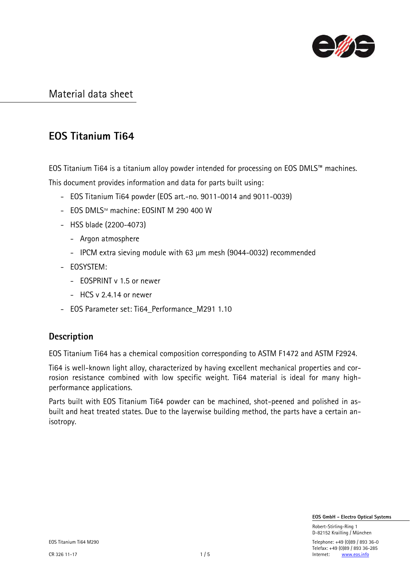

# EOS Titanium Ti64

EOS Titanium Ti64 is a titanium alloy powder intended for processing on EOS DMLS™ machines. This document provides information and data for parts built using:

- EOS Titanium Ti64 powder (EOS art.-no. 9011-0014 and 9011-0039)
- EOS DMLS™ machine: EOSINT M 290 400 W
- HSS blade (2200-4073)
	- Argon atmosphere
	- IPCM extra sieving module with 63 µm mesh (9044-0032) recommended
- EOSYSTEM:
	- EOSPRINT v 1.5 or newer
	- HCS v 2.4.14 or newer
- EOS Parameter set: Ti64\_Performance\_M291 1.10

### **Description**

EOS Titanium Ti64 has a chemical composition corresponding to ASTM F1472 and ASTM F2924.

Ti64 is well-known light alloy, characterized by having excellent mechanical properties and corrosion resistance combined with low specific weight. Ti64 material is ideal for many highperformance applications.

Parts built with EOS Titanium Ti64 powder can be machined, shot-peened and polished in asbuilt and heat treated states. Due to the layerwise building method, the parts have a certain anisotropy.

EOS GmbH - Electro Optical Systems

 Robert-Stirling-Ring 1 D-82152 Krailling / München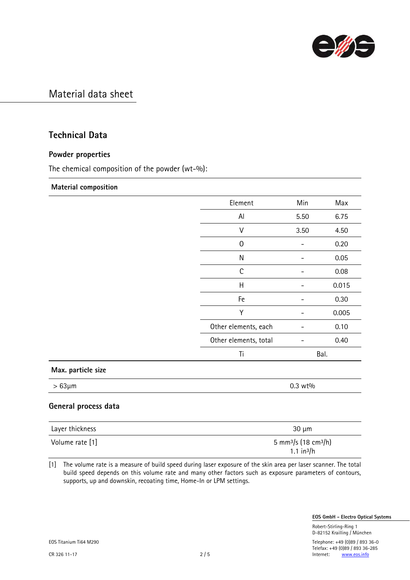

### Technical Data

### Powder properties

The chemical composition of the powder (wt-%):

#### Material composition

|                      | Element               | Min     | Max   |
|----------------------|-----------------------|---------|-------|
|                      | Al                    | 5.50    | 6.75  |
|                      | $\vee$                | 3.50    | 4.50  |
|                      | $\mathbf 0$           |         | 0.20  |
|                      | N                     |         | 0.05  |
|                      | $\mathsf C$           |         | 0.08  |
|                      | $\sf H$               |         | 0.015 |
|                      | Fe                    |         | 0.30  |
|                      | Υ                     |         | 0.005 |
|                      | Other elements, each  |         | 0.10  |
|                      | Other elements, total |         | 0.40  |
|                      | Ti                    |         | Bal.  |
| Max. particle size   |                       |         |       |
| $>63\mu m$           |                       | 0.3 wt% |       |
| General process data |                       |         |       |

| Layer thickness | $30 \mu m$                                   |
|-----------------|----------------------------------------------|
| Volume rate [1] | 5 mm <sup>3</sup> /s (18 cm <sup>3</sup> /h) |
|                 | $1.1 \text{ in}^3/h$                         |

[1] The volume rate is a measure of build speed during laser exposure of the skin area per laser scanner. The total build speed depends on this volume rate and many other factors such as exposure parameters of contours, supports, up and downskin, recoating time, Home-In or LPM settings.

EOS GmbH - Electro Optical Systems

 Robert-Stirling-Ring 1 D-82152 Krailling / München

EOS Titanium Ti64 M290 Telephone: +49 (0)89 / 893 36-0 Telefax: +49 (0)89 / 893 36-285<br>2 / 5 <br>Internet: www.eos.info CR 326 11-17 2 / 5 Internet: [www.eos.info](http://www.eos.info/)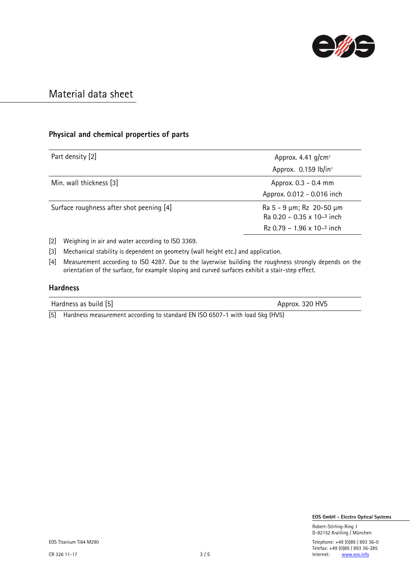

### Physical and chemical properties of parts

| Part density [2]                         | Approx. 4.41 $g/cm3$                                                                                       |
|------------------------------------------|------------------------------------------------------------------------------------------------------------|
|                                          | Approx. 0.159 lb/in <sup>3</sup>                                                                           |
| Min. wall thickness [3]                  | Approx. 0.3 - 0.4 mm                                                                                       |
|                                          | Approx. 0.012 - 0.016 inch                                                                                 |
| Surface roughness after shot peening [4] | Ra 5 - 9 $\mu$ m; Rz 20-50 $\mu$ m<br>Ra $0.20 - 0.35 \times 10^{-3}$ inch<br>$Rz 0.79 - 1.96 x 10-3$ inch |

[2] Weighing in air and water according to ISO 3369.

[3] Mechanical stability is dependent on geometry (wall height etc.) and application.

[4] Measurement according to ISO 4287. Due to the layerwise building the roughness strongly depends on the orientation of the surface, for example sloping and curved surfaces exhibit a stair-step effect.

#### Hardness

| Hardness as build [5] | Approx. 320 HV5 |
|-----------------------|-----------------|
|                       |                 |

[5] Hardness measurement according to standard EN ISO 6507-1 with load 5kg (HV5)

EOS GmbH - Electro Optical Systems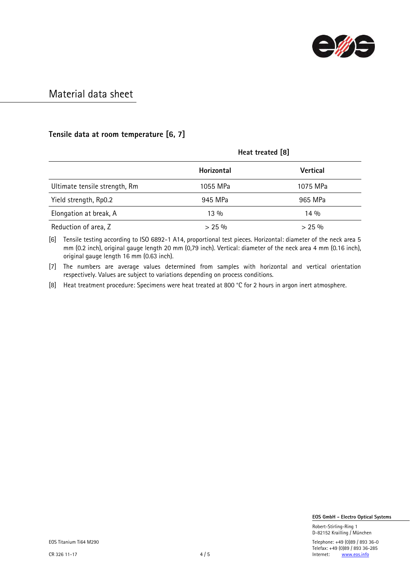

### Tensile data at room temperature [6, 7]

|                               | Heat treated [8]  |                 |  |
|-------------------------------|-------------------|-----------------|--|
|                               | <b>Horizontal</b> | <b>Vertical</b> |  |
| Ultimate tensile strength, Rm | 1055 MPa          | 1075 MPa        |  |
| Yield strength, Rp0.2         | 945 MPa           | 965 MPa         |  |
| Elongation at break, A        | $13\%$            | $14\%$          |  |
| Reduction of area, Z          | $> 25\%$          | $> 25\%$        |  |

[6] Tensile testing according to ISO 6892-1 A14, proportional test pieces. Horizontal: diameter of the neck area 5 mm (0.2 inch), original gauge length 20 mm (0,79 inch). Vertical: diameter of the neck area 4 mm (0.16 inch), original gauge length 16 mm (0.63 inch).

[7] The numbers are average values determined from samples with horizontal and vertical orientation respectively. Values are subject to variations depending on process conditions.

[8] Heat treatment procedure: Specimens were heat treated at 800 °C for 2 hours in argon inert atmosphere.

EOS GmbH - Electro Optical Systems